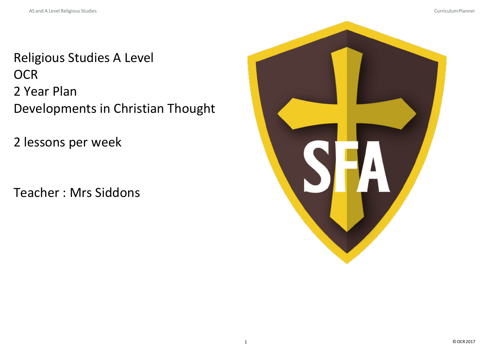Religious Studies A Level **OCR** 2 Year Plan Developments in Christian Thought

2 lessons per week

Teacher : Mrs Siddons

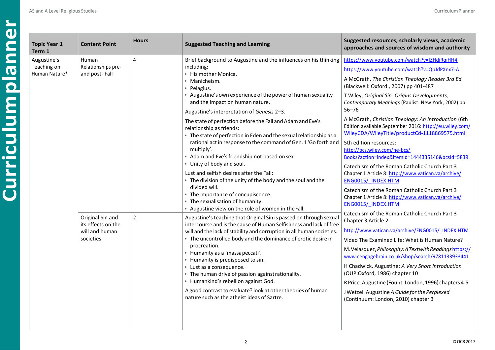| <b>Topic Year 1</b><br>Term 1 | <b>Content Point</b>                   | <b>Hours</b>                                                     | <b>Suggested Teaching and Learning</b>                                                                                                                                                                                                                                 | Suggested resources, scholarly views, academic<br>approaches and sources of wisdom and authority                                                               |
|-------------------------------|----------------------------------------|------------------------------------------------------------------|------------------------------------------------------------------------------------------------------------------------------------------------------------------------------------------------------------------------------------------------------------------------|----------------------------------------------------------------------------------------------------------------------------------------------------------------|
| Augustine's<br>Human          | $\overline{4}$                         | Brief background to Augustine and the influences on his thinking | https://www.youtube.com/watch?v=IZHdjRgiHH4                                                                                                                                                                                                                            |                                                                                                                                                                |
| Teaching on<br>Human Nature*  | Relationships pre-<br>and post-Fall    |                                                                  | including:<br>• His mother Monica.                                                                                                                                                                                                                                     | https://www.youtube.com/watch?v=QpJdPXnx7-A                                                                                                                    |
|                               |                                        |                                                                  | · Manicheism.<br>· Pelagius.                                                                                                                                                                                                                                           | A McGrath, The Christian Theology Reader 3rd Ed<br>(Blackwell: Oxford, 2007) pp 401-487                                                                        |
|                               |                                        |                                                                  | • Augustine's own experience of the power of human sexuality<br>and the impact on human nature.                                                                                                                                                                        | T Wiley, Original Sin: Origins Developments,<br>Contemporary Meanings (Paulist: New York, 2002) pp                                                             |
|                               |                                        |                                                                  | Augustine's interpretation of Genesis 2-3.                                                                                                                                                                                                                             | $56 - 76$                                                                                                                                                      |
|                               |                                        |                                                                  | The state of perfection before the Fall and Adam and Eve's<br>relationship as friends:<br>• The state of perfection in Eden and the sexual relationship as a                                                                                                           | A McGrath, Christian Theology: An Introduction (6th<br>Edition available September 2016: http://eu.wiley.com/<br>WileyCDA/WileyTitle/productCd-1118869575.html |
|                               |                                        |                                                                  | rational act in response to the command of Gen. 1'Go forth and<br>multiply'.<br>• Adam and Eve's friendship not based on sex.<br>• Unity of body and soul.<br>Lust and selfish desires after the Fall:<br>• The division of the unity of the body and the soul and the | 5th edition resources:<br>http://bcs.wiley.com/he-bcs/<br>Books?action=index&itemId=1444335146&bcsId=5839                                                      |
|                               |                                        |                                                                  |                                                                                                                                                                                                                                                                        | Catechism of the Roman Catholic Church Part 3                                                                                                                  |
|                               |                                        |                                                                  |                                                                                                                                                                                                                                                                        | Chapter 1 Article 8: http://www.vatican.va/archive/<br>ENG0015/ INDEX.HTM                                                                                      |
|                               |                                        |                                                                  | divided will.<br>• The importance of concupiscence.<br>• The sexualisation of humanity.<br>· Augustine view on the role of women in the Fall.                                                                                                                          | Catechism of the Roman Catholic Church Part 3<br>Chapter 1 Article 8: http://www.vatican.va/archive/<br>ENG0015/ INDEX.HTM                                     |
|                               | Original Sin and<br>its effects on the | $\overline{2}$                                                   | Augustine's teaching that Original Sin is passed on through sexual<br>intercourse and is the cause of Human Selfishness and lack of free<br>will and the lack of stability and corruption in all human societies.                                                      | Catechism of the Roman Catholic Church Part 3<br>Chapter 3 Article 2                                                                                           |
|                               | will and human                         |                                                                  |                                                                                                                                                                                                                                                                        | http://www.vatican.va/archive/ENG0015/ INDEX.HTM                                                                                                               |
|                               | societies                              |                                                                  | • The uncontrolled body and the dominance of erotic desire in<br>procreation.                                                                                                                                                                                          | Video The Examined Life: What is Human Nature?                                                                                                                 |
|                               |                                        |                                                                  | · Humanity as a 'massapeccati'.<br>• Humanity is predisposed to sin.                                                                                                                                                                                                   | M. Velasquez, Philosophy: A Text with Readings https://<br>www.cengagebrain.co.uk/shop/search/9781133933441                                                    |
|                               |                                        |                                                                  | • Lust as a consequence.<br>• The human drive of passion against rationality.                                                                                                                                                                                          | H Chadwick. Augustine: A Very Short Introduction<br>(OUP:Oxford, 1986) chapter 10                                                                              |
|                               |                                        |                                                                  | · Humankind's rebellion against God.                                                                                                                                                                                                                                   | R Price. Augustine (Fount: London, 1996) chapters 4-5                                                                                                          |
|                               |                                        |                                                                  | A good contrast to evaluate? look at other theories of human<br>nature such as the atheist ideas of Sartre.                                                                                                                                                            | J Wetzel. Augustine A Guide for the Perplexed<br>(Continuum: London, 2010) chapter 3                                                                           |
|                               |                                        |                                                                  |                                                                                                                                                                                                                                                                        |                                                                                                                                                                |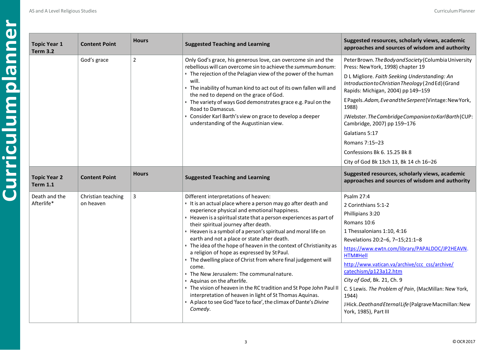| <b>Topic Year 1</b><br><b>Term 3.2</b> | <b>Content Point</b>            | <b>Hours</b>   | <b>Suggested Teaching and Learning</b>                                                                                                                                                                                                                                                                                                                                                                                                                                                                                                                                                                                                                                                                                                                                                                                                                                          | Suggested resources, scholarly views, academic<br>approaches and sources of wisdom and authority                                                                                                                                                                                                                                                                                                                                                                                                               |
|----------------------------------------|---------------------------------|----------------|---------------------------------------------------------------------------------------------------------------------------------------------------------------------------------------------------------------------------------------------------------------------------------------------------------------------------------------------------------------------------------------------------------------------------------------------------------------------------------------------------------------------------------------------------------------------------------------------------------------------------------------------------------------------------------------------------------------------------------------------------------------------------------------------------------------------------------------------------------------------------------|----------------------------------------------------------------------------------------------------------------------------------------------------------------------------------------------------------------------------------------------------------------------------------------------------------------------------------------------------------------------------------------------------------------------------------------------------------------------------------------------------------------|
|                                        | God's grace                     | $\overline{2}$ | Only God's grace, his generous love, can overcome sin and the<br>rebellious will can overcome sin to achieve the summum bonum:<br>• The rejection of the Pelagian view of the power of the human<br>will.<br>. The inability of human kind to act out of its own fallen will and<br>the ned to depend on the grace of God.<br>• The variety of ways God demonstrates grace e.g. Paul on the<br>Road to Damascus.<br>Consider Karl Barth's view on grace to develop a deeper<br>understanding of the Augustinian view.                                                                                                                                                                                                                                                                                                                                                           | Peter Brown. The Body and Society (Columbia University<br>Press: NewYork, 1998) chapter 19<br>D L Migliore. Faith Seeking Understanding: An<br>Introduction to Christian Theology (2nd Ed) (Grand<br>Rapids: Michigan, 2004) pp 149-159<br>EPagels.Adam, Eveand the Serpent (Vintage: New York,<br>1988)<br>JWebster. The Cambridge Companion to Karl Barth (CUP:<br>Cambridge, 2007) pp 159-176<br>Galatians 5:17<br>Romans 7:15-23<br>Confessions Bk 6, 15.25 Bk 8<br>City of God Bk 13ch 13, Bk 14 ch 16-26 |
| <b>Topic Year 2</b><br><b>Term 1.1</b> | <b>Content Point</b>            | <b>Hours</b>   | <b>Suggested Teaching and Learning</b>                                                                                                                                                                                                                                                                                                                                                                                                                                                                                                                                                                                                                                                                                                                                                                                                                                          | Suggested resources, scholarly views, academic<br>approaches and sources of wisdom and authority                                                                                                                                                                                                                                                                                                                                                                                                               |
| Death and the<br>Afterlife*            | Christian teaching<br>on heaven | $\overline{3}$ | Different interpretations of heaven:<br>• It is an actual place where a person may go after death and<br>experience physical and emotional happiness.<br>• Heaven is a spiritual state that a person experiences as part of<br>their spiritual journey after death.<br>• Heaven is a symbol of a person's spiritual and moral life on<br>earth and not a place or state after death.<br>• The idea of the hope of heaven in the context of Christianity as<br>a religion of hope as expressed by StPaul.<br>• The dwelling place of Christ from where final judgement will<br>come.<br>• The New Jerusalem: The communal nature.<br>• Aquinas on the afterlife.<br>. The vision of heaven in the RC tradition and St Pope John Paul II<br>interpretation of heaven in light of St Thomas Aquinas.<br>A place to see God 'face to face', the climax of Dante's Divine<br>Comedy. | Psalm 27:4<br>2 Corinthians 5:1-2<br>Phillipians 3:20<br>Romans 10:6<br>1 Thessalonians 1:10, 4:16<br>Revelations 20:2-6, 7-15;21:1-8<br>https://www.ewtn.com/library/PAPALDOC/JP2HEAVN.<br>HTM#Hell<br>http://www.vatican.va/archive/ccc css/archive/<br>catechism/p123a12.htm<br>City of God, Bk. 21, Ch. 9<br>C. S Lewis. The Problem of Pain, (MacMillan: New York,<br>1944)<br>JHick. Death and Eternal Life (Palgrave Macmillan: New<br>York, 1985), Part III                                            |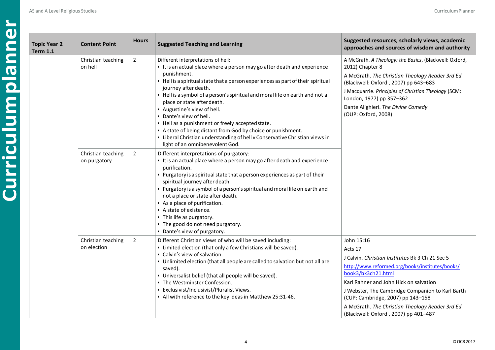| <b>Topic Year 2</b><br><b>Term 1.1</b> | <b>Content Point</b>               | <b>Hours</b>   | <b>Suggested Teaching and Learning</b>                                                                                                                                                                                                                                                                                                                                                                                                                                                                                                                                                                                                                   | Suggested resources, scholarly views, academic<br>approaches and sources of wisdom and authority                                                                                                                                                                                                                                                                                       |
|----------------------------------------|------------------------------------|----------------|----------------------------------------------------------------------------------------------------------------------------------------------------------------------------------------------------------------------------------------------------------------------------------------------------------------------------------------------------------------------------------------------------------------------------------------------------------------------------------------------------------------------------------------------------------------------------------------------------------------------------------------------------------|----------------------------------------------------------------------------------------------------------------------------------------------------------------------------------------------------------------------------------------------------------------------------------------------------------------------------------------------------------------------------------------|
|                                        | Christian teaching<br>on hell      | $\overline{2}$ | Different interpretations of hell:<br>• It is an actual place where a person may go after death and experience<br>punishment.<br>• Hell is a spiritual state that a person experiences as part of their spiritual<br>journey after death.<br>· Hell is a symbol of a person's spiritual and moral life on earth and not a<br>place or state after death.<br>· Augustine's view of hell.<br>· Dante's view of hell.<br>• Hell as a punishment or freely accepted state.<br>· A state of being distant from God by choice or punishment.<br>• Liberal Christian understanding of hell v Conservative Christian views in<br>light of an omnibenevolent God. | A McGrath. A Theology: the Basics, (Blackwell: Oxford,<br>2012) Chapter 8<br>A McGrath. The Christian Theology Reader 3rd Ed<br>(Blackwell: Oxford, 2007) pp 643-683<br>J Macquarrie. Principles of Christian Theology (SCM:<br>London, 1977) pp 357-362<br>Dante Alighieri. The Divine Comedy<br>(OUP: Oxford, 2008)                                                                  |
|                                        | Christian teaching<br>on purgatory | $\overline{2}$ | Different interpretations of purgatory:<br>It is an actual place where a person may go after death and experience<br>purification.<br>• Purgatory is a spiritual state that a person experiences as part of their<br>spiritual journey after death.<br>· Purgatory is a symbol of a person's spiritual and moral life on earth and<br>not a place or state after death.<br>As a place of purification.<br>A state of existence.<br>• This life as purgatory.<br>• The good do not need purgatory.<br>• Dante's view of purgatory.                                                                                                                        |                                                                                                                                                                                                                                                                                                                                                                                        |
|                                        | Christian teaching<br>on election  | $\overline{2}$ | Different Christian views of who will be saved including:<br>• Limited election (that only a few Christians will be saved).<br>· Calvin's view of salvation.<br>• Unlimited election (that all people are called to salvation but not all are<br>saved).<br>• Universalist belief (that all people will be saved).<br>• The Westminster Confession.<br>· Exclusivist/Inclusivist/Pluralist Views.<br>· All with reference to the key ideas in Matthew 25:31-46.                                                                                                                                                                                          | John 15:16<br>Acts 17<br>J Calvin. <i>Christian Institutes</i> Bk 3 Ch 21 Sec 5<br>http://www.reformed.org/books/institutes/books/<br>book3/bk3ch21.html<br>Karl Rahner and John Hick on salvation<br>J Webster, The Cambridge Companion to Karl Barth<br>(CUP: Cambridge, 2007) pp 143-158<br>A McGrath. The Christian Theology Reader 3rd Ed<br>(Blackwell: Oxford, 2007) pp 401-487 |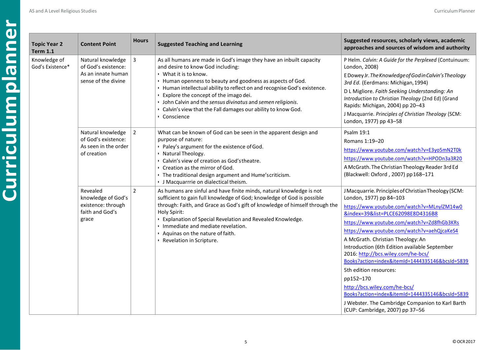| <b>Topic Year 2</b><br><b>Term 1.1</b> | <b>Content Point</b>                                                                  | <b>Hours</b>   | <b>Suggested Teaching and Learning</b>                                                                                                                                                                                                                                                                                                                                                                                                                                    | Suggested resources, scholarly views, academic<br>approaches and sources of wisdom and authority                                                                                                                                                                                                                                                                                                                                                                                                                                                                                                                                                                  |
|----------------------------------------|---------------------------------------------------------------------------------------|----------------|---------------------------------------------------------------------------------------------------------------------------------------------------------------------------------------------------------------------------------------------------------------------------------------------------------------------------------------------------------------------------------------------------------------------------------------------------------------------------|-------------------------------------------------------------------------------------------------------------------------------------------------------------------------------------------------------------------------------------------------------------------------------------------------------------------------------------------------------------------------------------------------------------------------------------------------------------------------------------------------------------------------------------------------------------------------------------------------------------------------------------------------------------------|
| Knowledge of<br>God's Existence*       | Natural knowledge<br>of God's existence:<br>As an innate human<br>sense of the divine | 3              | As all humans are made in God's image they have an inbuilt capacity<br>and desire to know God including:<br>• What it is to know.<br>• Human openness to beauty and goodness as aspects of God.<br>· Human intellectual ability to reflect on and recognise God's existence.<br>· Explore the concept of the imago dei.<br>· John Calvin and the sensus divinatus and semen religionis.<br>· Calvin's view that the Fall damages our ability to know God.<br>• Conscience | P Helm. Calvin: A Guide for the Perplexed (Contuinuum:<br>London, 2008)<br>E Dowey Jr. The Knowledge of God in Calvin's Theology<br>3rd Ed. (Eerdmans: Michigan, 1994)<br>D L Migliore. Faith Seeking Understanding: An<br>Introduction to Christian Theology (2nd Ed) (Grand<br>Rapids: Michigan, 2004) pp 20-43<br>J Macquarrie. Principles of Christian Theology (SCM:<br>London, 1977) pp 43-58                                                                                                                                                                                                                                                               |
|                                        | Natural knowledge<br>of God's existence:<br>As seen in the order<br>of creation       | $\overline{2}$ | What can be known of God can be seen in the apparent design and<br>purpose of nature:<br>· Paley's argument for the existence of God.<br>· Natural Theology.<br>· Calvin's view of creation as God's theatre.<br>Creation as the mirror of God.<br>· The traditional design argument and Hume'scriticism.<br>• J Macquarrrie on dialectical theism.                                                                                                                       | Psalm 19:1<br>Romans 1:19-20<br>https://www.youtube.com/watch?v=E3yo5mN2T0k<br>https://www.youtube.com/watch?v=HPODn3a3R20<br>A McGrath. The Christian Theology Reader 3rd Ed<br>(Blackwell: Oxford, 2007) pp 168-171                                                                                                                                                                                                                                                                                                                                                                                                                                             |
|                                        | Revealed<br>knowledge of God's<br>existence: through<br>faith and God's<br>grace      | $\overline{2}$ | As humans are sinful and have finite minds, natural knowledge is not<br>sufficient to gain full knowledge of God; knowledge of God is possible<br>through: Faith, and Grace as God's gift of knowledge of himself through the<br>Holy Spirit:<br>• Explanation of Special Revelation and Revealed Knowledge.<br>· Immediate and mediate revelation.<br>Aquinas on the nature of faith.<br>· Revelation in Scripture.                                                      | J Macquarrie. Principles of Christian Theology (SCM:<br>London, 1977) pp 84-103<br>https://www.youtube.com/watch?v=MLnylZM14w0<br>&index=39&list=PLCE62098E8D4316B8<br>https://www.youtube.com/watch?v=Zd8fhGb3KRs<br>https://www.youtube.com/watch?v=aehQjcaKeS4<br>A McGrath. Christian Theology: An<br>Introduction (6th Edition available September<br>2016: http://bcs.wiley.com/he-bcs/<br>Books?action=index&itemId=1444335146&bcsId=5839<br>5th edition resources:<br>pp152-170<br>http://bcs.wiley.com/he-bcs/<br>Books?action=index&itemId=1444335146&bcsId=5839<br>J Webster. The Cambridge Companion to Karl Barth<br>(CUP: Cambridge, 2007) pp 37-56 |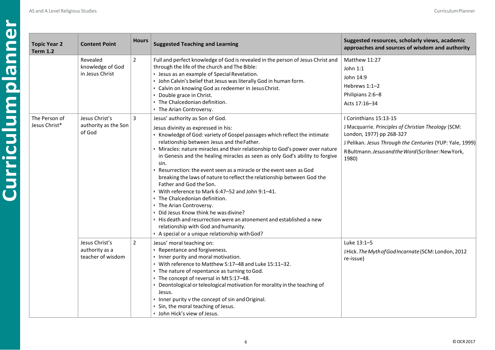|                 | <b>Topic Year 2</b><br><b>Term 1.2</b> | <b>Content Poir</b>                               |
|-----------------|----------------------------------------|---------------------------------------------------|
| lanner<br>a win |                                        | Revealed<br>knowledge of<br>in Jesus Chris        |
| <b>Dian</b>     | The Person of<br>Jesus Christ*         | Jesus Christ's<br>authority as t<br>of God        |
|                 |                                        | Jesus Christ's<br>authority as a<br>teacher of wi |

| ear 2<br>$2 \nightharpoonup$ | <b>Content Point</b>                                  | <b>Hours</b>   | <b>Suggested Teaching and Learning</b>                                                                                                                                                                                                                                                                                                                                                                                                                                                                                                                                                                                                                                                                                                                                                                                                                                                | Suggested resources, scholarly views, academic<br>approaches and sources of wisdom and authority                                                                                                                                      |
|------------------------------|-------------------------------------------------------|----------------|---------------------------------------------------------------------------------------------------------------------------------------------------------------------------------------------------------------------------------------------------------------------------------------------------------------------------------------------------------------------------------------------------------------------------------------------------------------------------------------------------------------------------------------------------------------------------------------------------------------------------------------------------------------------------------------------------------------------------------------------------------------------------------------------------------------------------------------------------------------------------------------|---------------------------------------------------------------------------------------------------------------------------------------------------------------------------------------------------------------------------------------|
|                              | Revealed<br>knowledge of God<br>in Jesus Christ       | $\overline{2}$ | Full and perfect knowledge of God is revealed in the person of Jesus Christ and<br>through the life of the church and The Bible:<br>· Jesus as an example of Special Revelation.<br>· John Calvin's belief that Jesus was literally God in human form.<br>• Calvin on knowing God as redeemer in Jesus Christ.<br>• Double grace in Christ.<br>· The Chalcedonian definition.<br>• The Arian Controversy.                                                                                                                                                                                                                                                                                                                                                                                                                                                                             | Matthew 11:27<br>John 1:1<br>John 14:9<br>Hebrews 1:1-2<br>Philipians 2:6-8<br>Acts 17:16-34                                                                                                                                          |
| son of<br>nrist*             | Jesus Christ's<br>authority as the Son<br>of God      | $\overline{3}$ | Jesus' authority as Son of God.<br>Jesus divinity as expressed in his:<br>• Knowledge of God: variety of Gospel passages which reflect the intimate<br>relationship between Jesus and the Father.<br>· Miracles: nature miracles and their relationship to God's power over nature<br>in Genesis and the healing miracles as seen as only God's ability to forgive<br>sin.<br>. Resurrection: the event seen as a miracle or the event seen as God<br>breaking the laws of nature to reflect the relationship between God the<br>Father and God the Son.<br>· With reference to Mark 6:47-52 and John 9:1-41.<br>. The Chalcedonian definition.<br>• The Arian Controversy.<br>· Did Jesus Know think he was divine?<br>. His death and resurrection were an atonement and established a new<br>relationship with God and humanity.<br>· A special or a unique relationship with God? | I Corinthians 15:13-15<br>J Macquarrie. Principles of Christian Theology (SCM:<br>London, 1977) pp 268-327<br>J Pelikan. Jesus Through the Centuries (YUP: Yale, 1999)<br>RBultmann. Jesus and the Word (Scribner: New York,<br>1980) |
|                              | Jesus Christ's<br>authority as a<br>teacher of wisdom | $\overline{2}$ | Jesus' moral teaching on:<br>· Repentance and forgiveness.<br>· Inner purity and moral motivation.<br>• With reference to Matthew 5:17-48 and Luke 15:11-32.<br>• The nature of repentance as turning to God.<br>• The concept of reversal in Mt 5:17-48.<br>• Deontological or teleological motivation for morality in the teaching of<br>Jesus.<br>• Inner purity v the concept of sin and Original.<br>· Sin, the moral teaching of Jesus.<br>· John Hick's view of Jesus.                                                                                                                                                                                                                                                                                                                                                                                                         | Luke 13:1-5<br>JHick. The Myth of God Incarnate (SCM: London, 2012<br>re-issue)                                                                                                                                                       |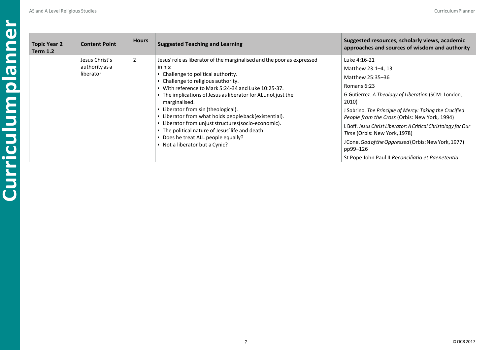| <b>Topic Year 2</b><br><b>Term 1.2</b> | <b>Content Point</b>                          | <b>Hours</b> | <b>Suggested Teaching and Learning</b>                                                                                                                                                                                                                                                                                                                                                                                                                                                                                                                                   | Suggested resources, scholarly views, academic<br>approaches and sources of wisdom and authority                                                                                                                                                                                                                                                                                                                                                                            |
|----------------------------------------|-----------------------------------------------|--------------|--------------------------------------------------------------------------------------------------------------------------------------------------------------------------------------------------------------------------------------------------------------------------------------------------------------------------------------------------------------------------------------------------------------------------------------------------------------------------------------------------------------------------------------------------------------------------|-----------------------------------------------------------------------------------------------------------------------------------------------------------------------------------------------------------------------------------------------------------------------------------------------------------------------------------------------------------------------------------------------------------------------------------------------------------------------------|
|                                        | Jesus Christ's<br>authority as a<br>liberator | 2            | Jesus' role as liberator of the marginalised and the poor as expressed<br>in his:<br>Challenge to political authority.<br>Challenge to religious authority.<br>With reference to Mark 5:24-34 and Luke 10:25-37.<br>The implications of Jesus as liberator for ALL not just the<br>marginalised.<br>Liberator from sin (theological).<br>Liberator from what holds people back(existential).<br>Liberator from unjust structures(socio-economic).<br>The political nature of Jesus' life and death.<br>Does he treat ALL people equally?<br>Not a liberator but a Cynic? | Luke 4:16-21<br>Matthew 23:1-4, 13<br>Matthew 25:35-36<br>Romans 6:23<br>G Gutierrez. A Theology of Liberation (SCM: London,<br>2010)<br>J Sobrino. The Principle of Mercy: Taking the Crucified<br>People from the Cross (Orbis: New York, 1994)<br>L Boff. Jesus Christ Liberator: A Critical Christology for Our<br>Time (Orbis: New York, 1978)<br>JCone. God of the Oppressed (Orbis: New York, 1977)<br>pp99-126<br>St Pope John Paul II Reconciliatio et Paenetentia |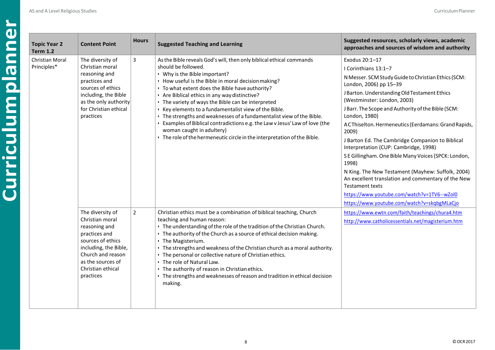| <b>Topic Year 2</b><br><b>Term 1.2</b> | <b>Content Point</b>                                                                                                                                                                            | <b>Hours</b>   | <b>Suggested Teaching and Learning</b>                                                                                                                                                                                                                                                                                                                                                                                                                                                                                                                                                                                                                                   | Suggested resources, scholarly views, academic<br>approaches and sources of wisdom and authority                                                                                                                                                                                                                                                                                                                                                                                                                                                                                                                                                                                                                                                |
|----------------------------------------|-------------------------------------------------------------------------------------------------------------------------------------------------------------------------------------------------|----------------|--------------------------------------------------------------------------------------------------------------------------------------------------------------------------------------------------------------------------------------------------------------------------------------------------------------------------------------------------------------------------------------------------------------------------------------------------------------------------------------------------------------------------------------------------------------------------------------------------------------------------------------------------------------------------|-------------------------------------------------------------------------------------------------------------------------------------------------------------------------------------------------------------------------------------------------------------------------------------------------------------------------------------------------------------------------------------------------------------------------------------------------------------------------------------------------------------------------------------------------------------------------------------------------------------------------------------------------------------------------------------------------------------------------------------------------|
| Christian Moral<br>Principles*         | The diversity of<br>Christian moral<br>reasoning and<br>practices and<br>sources of ethics<br>including, the Bible<br>as the only authority<br>for Christian ethical<br>practices               | 3              | As the Bible reveals God's will, then only biblical ethical commands<br>should be followed.<br>. Why is the Bible important?<br>• How useful is the Bible in moral decision making?<br>• To what extent does the Bible have authority?<br>· Are Biblical ethics in any way distinctive?<br>• The variety of ways the Bible can be interpreted<br>· Key elements to a fundamentalist view of the Bible.<br>· The strengths and weaknesses of a fundamentalist view of the Bible.<br>• Examples of Biblical contradictions e.g. the Law v Jesus' Law of love (the<br>woman caught in adultery)<br>. The role of the hermeneutic circle in the interpretation of the Bible. | Exodus 20:1-17<br>I Corinthians 13:1-7<br>N Messer. SCM Study Guide to Christian Ethics (SCM:<br>London, 2006) pp 15-39<br>J Barton. Understanding Old Testament Ethics<br>(Westminster: London, 2003)<br>J Barr. The Scope and Authority of the Bible (SCM:<br>London, 1980)<br>A CThiselton. Hermeneutics (Eerdamans: Grand Rapids,<br>2009)<br>J Barton Ed. The Cambridge Companion to Biblical<br>Interpretation (CUP: Cambridge, 1998)<br>S E Gillingham. One Bible Many Voices (SPCK: London,<br>1998)<br>N King. The New Testament (Mayhew: Suffolk, 2004)<br>An excellent translation and commentary of the New<br><b>Testament texts</b><br>https://www.youtube.com/watch?v=1TV6--wZol0<br>https://www.youtube.com/watch?v=skqbgMLaCjo |
|                                        | The diversity of<br>Christian moral<br>reasoning and<br>practices and<br>sources of ethics<br>including, the Bible,<br>Church and reason<br>as the sources of<br>Christian ethical<br>practices | $\overline{2}$ | Christian ethics must be a combination of biblical teaching, Church<br>teaching and human reason:<br>. The understanding of the role of the tradition of the Christian Church.<br>• The authority of the Church as a source of ethical decision making.<br>• The Magisterium.<br>• The strengths and weakness of the Christian church as a moral authority.<br>• The personal or collective nature of Christian ethics.<br>. The role of Natural Law.<br>• The authority of reason in Christian ethics.<br>• The strengths and weaknesses of reason and tradition in ethical decision<br>making.                                                                         | https://www.ewtn.com/faith/teachings/chura4.htm<br>http://www.catholicessentials.net/magisterium.htm                                                                                                                                                                                                                                                                                                                                                                                                                                                                                                                                                                                                                                            |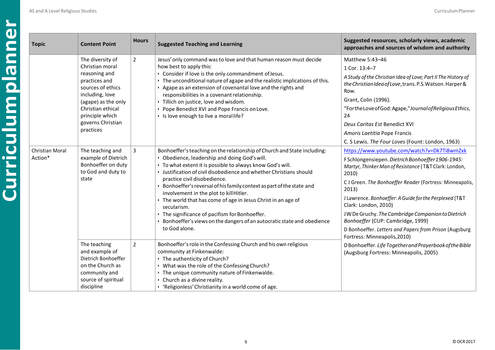| <b>Topic</b>               | <b>Content Point</b>                                                                                                                                                                                           | <b>Hours</b>   | <b>Suggested Teaching and Learning</b>                                                                                                                                                                                                                                                                                                                                                                                                                                                                                                                                                                                                             | Suggested resources, scholarly views, academic<br>approaches and sources of wisdom and authority                                                                                                                                                                                                                                                                                                                                                                                                              |
|----------------------------|----------------------------------------------------------------------------------------------------------------------------------------------------------------------------------------------------------------|----------------|----------------------------------------------------------------------------------------------------------------------------------------------------------------------------------------------------------------------------------------------------------------------------------------------------------------------------------------------------------------------------------------------------------------------------------------------------------------------------------------------------------------------------------------------------------------------------------------------------------------------------------------------------|---------------------------------------------------------------------------------------------------------------------------------------------------------------------------------------------------------------------------------------------------------------------------------------------------------------------------------------------------------------------------------------------------------------------------------------------------------------------------------------------------------------|
|                            | The diversity of<br>Christian moral<br>reasoning and<br>practices and<br>sources of ethics<br>including, love<br>(agape) as the only<br>Christian ethical<br>principle which<br>governs Christian<br>practices | $\overline{2}$ | Jesus' only command was to love and that human reason must decide<br>how best to apply this:<br>• Consider if love is the only commandment of Jesus.<br>· The unconditional nature of agape and the realistic implications of this.<br>Agape as an extension of covenantal love and the rights and<br>responsibilities in a covenant relationship.<br>· Tillich on justice, love and wisdom.<br>· Pope Benedict XVI and Pope Francis on Love.<br>· Is love enough to live a moral life?                                                                                                                                                            | Matthew 5:43-46<br>1 Cor. 13:4-7<br>A Study of the Christian Idea of Love; Part II The History of<br>the Christian Idea of Love, trans. P.S. Watson. Harper &<br>Row.<br>Grant, Colin (1996).<br>"Forthe Love of God: Agape," Journal of Religious Ethics,<br>24<br>Deus Caritas Est Benedict XVI<br>Amoris Laetitia Pope Francis<br>C. S Lewis. The Four Loves (Fount: London, 1963)                                                                                                                         |
| Christian Moral<br>Action* | The teaching and<br>example of Dietrich<br>Bonhoeffer on duty<br>to God and duty to<br>state                                                                                                                   | 3              | Bonhoeffer's teaching on the relationship of Church and State including:<br>• Obedience, leadership and doing God's will.<br>• To what extent it is possible to always know God's will.<br>· Justification of civil disobedience and whether Christians should<br>practice civil disobedience.<br>· Bonhoeffer's reversal of his family context as part of the state and<br>involvement in the plot to kill Hitler.<br>• The world that has come of age in Jesus Christ in an age of<br>secularism.<br>• The significance of pacifism for Bonhoeffer.<br>· Bonhoeffer's views on the dangers of an autocratic state and obedience<br>to God alone. | https://www.youtube.com/watch?v=Dk7Ti8wmZxk<br>F Schlongensiepen. Dietrich Bonhoeffer 1906-1945:<br>Martyr, Thinker Man of Resistance (T&T Clark: London,<br>2010)<br>C J Green. The Bonhoeffer Reader (Fortress: Minneapolis,<br>2013)<br>J Lawrence. Bonhoeffer: A Guide for the Perplexed (T&T<br>Clark: London, 2010)<br>JW De Gruchy. The Cambridge Companion to Dietrich<br>Bonhoeffer (CUP: Cambridge, 1999)<br>D Bonhoeffer. Letters and Papers from Prison (Augsburg<br>Fortress: Minneapolis, 2010) |
|                            | The teaching<br>and example of<br>Dietrich Bonhoeffer<br>on the Church as<br>community and<br>source of spiritual<br>discipline                                                                                | $\overline{2}$ | Bonhoeffer's role in the Confessing Church and his own religious<br>community at Finkenwalde:<br>· The authenticity of Church?<br>• What was the role of the Confessing Church?<br>· The unique community nature of Finkenwalde.<br>• Church as a divine reality.<br>· 'Religionless' Christianity in a world come of age.                                                                                                                                                                                                                                                                                                                         | D Bonhoeffer. Life Together and Prayerbook of the Bible<br>(Augsburg Fortress: Minneapolis, 2005)                                                                                                                                                                                                                                                                                                                                                                                                             |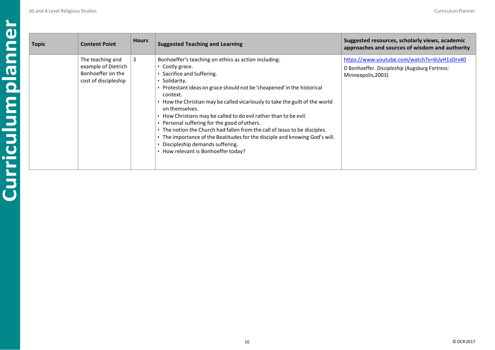| Topic | <b>Content Point</b>                                                                 | <b>Hours</b> | <b>Suggested Teaching and Learning</b>                                                                                                                                                                                                                                                                                                                                                                                                                                                                                                                                                                                                                                        | Suggested resources, scholarly views, academic<br>approaches and sources of wisdom and authority                    |
|-------|--------------------------------------------------------------------------------------|--------------|-------------------------------------------------------------------------------------------------------------------------------------------------------------------------------------------------------------------------------------------------------------------------------------------------------------------------------------------------------------------------------------------------------------------------------------------------------------------------------------------------------------------------------------------------------------------------------------------------------------------------------------------------------------------------------|---------------------------------------------------------------------------------------------------------------------|
|       | The teaching and<br>example of Dietrich<br>Bonhoeffer on the<br>cost of discipleship | 3            | Bonhoeffer's teaching on ethics as action including:<br>• Costly grace.<br>Sacrifice and Suffering.<br>Solidarity.<br>Protestant ideas on grace should not be 'cheapened' in the historical<br>context.<br>$\cdot$ How the Christian may be called vicariously to take the guilt of the world<br>on themselves.<br>$\cdot$ How Christians may be called to do evil rather than to be evil.<br>Personal suffering for the good of others.<br>. The notion the Church had fallen from the call of Jesus to be disciples.<br>The importance of the Beatitudes for the disciple and knowing God's will.<br>Discipleship demands suffering.<br>• How relevant is Bonhoeffer today? | https://www.youtube.com/watch?v=6UyH1sOrv40<br>D Bonhoeffer. Discipleship (Augsburg Fortress:<br>Minneapolis, 2003) |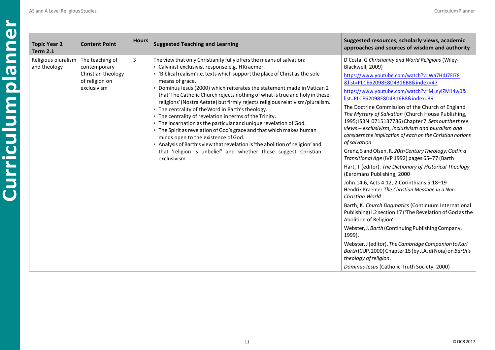| <b>Topic Year 2</b><br><b>Term 2.1</b> | <b>Content Point</b>                                                                   | <b>Hours</b> | <b>Suggested Teaching and Learning</b>                                                                                                                                                                                                                                                                                                                                                                                                                                                                                                                                                                                                                                                                                                                                                                                                                                                                                                         | Suggested resources, scholarly views, academic<br>approaches and sources of wisdom and authority                                                                                                                                                                                                                                                                                                                                                                                                                                                                                                                                                                                                                                                                                                                                                                                                                                                                                                                                                                                                                                                                                                                                                                                         |
|----------------------------------------|----------------------------------------------------------------------------------------|--------------|------------------------------------------------------------------------------------------------------------------------------------------------------------------------------------------------------------------------------------------------------------------------------------------------------------------------------------------------------------------------------------------------------------------------------------------------------------------------------------------------------------------------------------------------------------------------------------------------------------------------------------------------------------------------------------------------------------------------------------------------------------------------------------------------------------------------------------------------------------------------------------------------------------------------------------------------|------------------------------------------------------------------------------------------------------------------------------------------------------------------------------------------------------------------------------------------------------------------------------------------------------------------------------------------------------------------------------------------------------------------------------------------------------------------------------------------------------------------------------------------------------------------------------------------------------------------------------------------------------------------------------------------------------------------------------------------------------------------------------------------------------------------------------------------------------------------------------------------------------------------------------------------------------------------------------------------------------------------------------------------------------------------------------------------------------------------------------------------------------------------------------------------------------------------------------------------------------------------------------------------|
| Religious pluralism<br>and theology    | The teaching of<br>contemporary<br>Christian theology<br>of religion on<br>exclusivism | 3            | The view that only Christianity fully offers the means of salvation:<br>· Calvinist exclusivist response e.g. HKraemer.<br>· 'Biblical realism' i.e. texts which support the place of Christ as the sole<br>means of grace.<br>• Dominus Iesus (2000) which reiterates the statement made in Vatican 2<br>that 'The Catholic Church rejects nothing of what is true and holy in these<br>religions' (Nostra Aetate) but firmly rejects religious relativism/pluralism.<br>• The centrality of the Word in Barth's theology.<br>• The centrality of revelation in terms of the Trinity.<br>. The Incarnation as the particular and unique revelation of God.<br>• The Spirit as revelation of God's grace and that which makes human<br>minds open to the existence of God.<br>. Analysis of Barth's view that revelation is 'the abolition of religion' and<br>that 'religion is unbelief' and whether these suggest Christian<br>exclusivism. | D'Costa. G Christianity and World Religions (Wiley-<br>Blackwell, 2009)<br>https://www.youtube.com/watch?v=Wa7HdJ7FI78<br>&list=PLCE62098E8D4316B8&index=47<br>https://www.youtube.com/watch?v=MLnylZM14w0&<br>list=PLCE62098E8D4316B8&index=39<br>The Doctrine Commission of the Church of England<br>The Mystery of Salvation (Church House Publishing,<br>1995; ISBN: 0715137786) Chapter 7. Sets out the three<br>views - exclusivism, inclusivism and pluralism and<br>considers the implication of each on the Christian notions<br>of salvation<br>Grenz, Sand Olsen, R. 20th Century Theology: Godina<br>Transitional Age (IVP 1992) pages 65-77 (Barth<br>Hart, T (editor). The Dictionary of Historical Theology<br>(Eerdmans Publishing, 2000<br>John 14:6, Acts 4:12, 2 Corinthians 5:18-19<br>Hendrik Kraemer The Christian Message in a Non-<br>Christian World<br>Barth, K. Church Dogmatics (Continuum International<br>Publishing) I.2 section 17 ('The Revelation of God as the<br>Abolition of Religion'<br>Webster, J. Barth (Continuing Publishing Company,<br>1999).<br>Webster. J (editor). The Cambridge Companion to Karl<br>Barth (CUP, 2000) Chapter 15 (by J.A. di Noia) on Barth's<br>theology of religion.<br>Dominus Iesus (Catholic Truth Society, 2000) |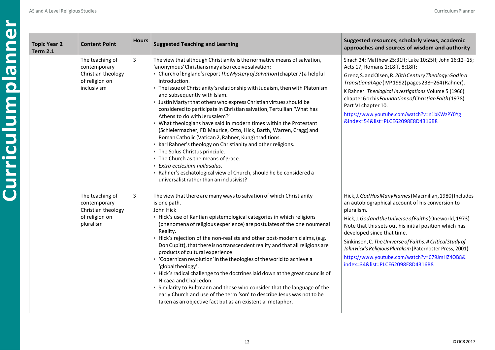| <b>Topic Year 2</b><br><b>Term 2.1</b> | <b>Content Point</b>                                                                   | <b>Hours</b> | <b>Suggested Teaching and Learning</b>                                                                                                                                                                                                                                                                                                                                                                                                                                                                                                                                                                                                                                                                                                                                                                                                                                                                                                                                                                                              | Suggested resources, scholarly views, academic<br>approaches and sources of wisdom and authority                                                                                                                                                                                                                                                                                                                                                                                          |
|----------------------------------------|----------------------------------------------------------------------------------------|--------------|-------------------------------------------------------------------------------------------------------------------------------------------------------------------------------------------------------------------------------------------------------------------------------------------------------------------------------------------------------------------------------------------------------------------------------------------------------------------------------------------------------------------------------------------------------------------------------------------------------------------------------------------------------------------------------------------------------------------------------------------------------------------------------------------------------------------------------------------------------------------------------------------------------------------------------------------------------------------------------------------------------------------------------------|-------------------------------------------------------------------------------------------------------------------------------------------------------------------------------------------------------------------------------------------------------------------------------------------------------------------------------------------------------------------------------------------------------------------------------------------------------------------------------------------|
|                                        | The teaching of<br>contemporary<br>Christian theology<br>of religion on<br>inclusivism | 3            | The view that although Christianity is the normative means of salvation,<br>'anonymous' Christians may also receive salvation:<br>• Church of England's report The Mystery of Salvation (chapter 7) a helpful<br>introduction.<br>• The issue of Christianity's relationship with Judaism, then with Platonism<br>and subsequently with Islam.<br>• Justin Martyr that others who express Christian virtues should be<br>considered to participate in Christian salvation, Tertullian 'What has<br>Athens to do with Jerusalem?'<br>• What theologians have said in modern times within the Protestant<br>(Schleiermacher, FD Maurice, Otto, Hick, Barth, Warren, Cragg) and<br>Roman Catholic (Vatican 2, Rahner, Kung) traditions.<br>· Karl Rahner's theology on Christianity and other religions.<br>• The Solus Christus principle.<br>• The Church as the means of grace.<br>· Extra ecclesiam nullasalus.<br>· Rahner's eschatological view of Church, should he be considered a<br>universalist rather than an inclusivist? | Sirach 24; Matthew 25:31ff; Luke 10:25ff; John 16:12-15;<br>Acts 17, Romans 1:18ff, 8:18ff;<br>Grenz, S. and Olsen, R. 20th Century Theology: Godina<br>Transitional Age (IVP 1992) pages 238-264 (Rahner).<br>K Rahner. Theological Investigations Volume 5 (1966)<br>chapter 6 or his Foundations of Christian Faith (1978)<br>Part VI chapter 10.<br>https://www.youtube.com/watch?v=n1bKWzPY0Yg<br>&index=54&list=PLCE62098E8D4316B8                                                  |
|                                        | The teaching of<br>contemporary<br>Christian theology<br>of religion on<br>pluralism   | 3            | The view that there are many ways to salvation of which Christianity<br>is one path.<br>John Hick<br>· Hick's use of Kantian epistemological categories in which religions<br>(phenomena of religious experience) are postulates of the one noumenal<br>Reality.<br>· Hick's rejection of the non-realists and other post-modern claims, (e.g.<br>Don Cupitt), that there is no transcendent reality and that all religions are<br>products of cultural experience.<br>Copernican revolution' in the theologies of the world to achieve a<br>'globaltheology'.<br>· Hick's radical challenge to the doctrines laid down at the great councils of<br>Nicaea and Chalcedon.<br>· Similarity to Bultmann and those who consider that the language of the<br>early Church and use of the term 'son' to describe Jesus was not to be<br>taken as an objective fact but as an existential metaphor.                                                                                                                                       | Hick, J. God Has Many Names (Macmillan, 1980) Includes<br>an autobiographical account of his conversion to<br>pluralism.<br>Hick, J. Godand the Universe of Faiths (Oneworld, 1973)<br>Note that this sets out his initial position which has<br>developed since that time.<br>Sinkinson, C. The Universe of Faiths: A Critical Study of<br>John Hick's Religious Pluralism (Paternoster Press, 2001)<br>https://www.youtube.com/watch?v=C79JmHZ4QB8&<br>index=34&list=PLCE62098E8D4316B8 |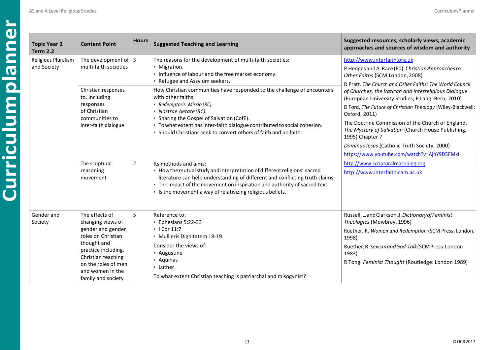| $\mathbf{d}$ | <b>Topic Year 2</b><br><b>Term 2.2</b> |
|--------------|----------------------------------------|
|              | Religious Plural<br>and Society        |
|              |                                        |
|              |                                        |
|              |                                        |
|              |                                        |
|              |                                        |
|              |                                        |
|              | Gender and<br>Society                  |
|              |                                        |

L

| <b>Topic Year 2</b><br><b>Term 2.2</b> | <b>Content Point</b>                                                                                                                                                                                        | <b>Hours</b>   | <b>Suggested Teaching and Learning</b>                                                                                                                                                                                                                                                                                                                                      | Suggested resources, scholarly views, academic<br>approaches and sources of wisdom and authority                                                                                                                                                                                                                                                                                                                                                                                                                                                                                                                                                |
|----------------------------------------|-------------------------------------------------------------------------------------------------------------------------------------------------------------------------------------------------------------|----------------|-----------------------------------------------------------------------------------------------------------------------------------------------------------------------------------------------------------------------------------------------------------------------------------------------------------------------------------------------------------------------------|-------------------------------------------------------------------------------------------------------------------------------------------------------------------------------------------------------------------------------------------------------------------------------------------------------------------------------------------------------------------------------------------------------------------------------------------------------------------------------------------------------------------------------------------------------------------------------------------------------------------------------------------------|
| Religious Pluralism<br>and Society     | The development of $ 3$<br>multi-faith societies                                                                                                                                                            |                | The reasons for the development of multi-faith societies:<br>• Migration.<br>. Influence of labour and the free market economy.<br>· Refugee and Assylum seekers.                                                                                                                                                                                                           | http://www.interfaith.org.uk<br>P.Hedges and A. Race (Ed). Christian Approaches to<br>Other Faiths (SCM:London, 2008)<br>D Pratt. The Church and Other Faiths: The World Council<br>of Churches, the Vatican and Interreligious Dialogue<br>(European University Studies, P Lang: Bern, 2010)<br>D Ford, The Future of Christian Theology (Wiley-Blackwell:<br>Oxford, 2011)<br>The Doctrine Commission of the Church of England,<br>The Mystery of Salvation (Church House Publishing,<br>1995) Chapter 7<br>Dominus Iesus (Catholic Truth Society, 2000)<br>https://www.youtube.com/watch?v=AjhY9D5EMxI<br>http://www.scripturalreasoning.org |
|                                        | Christian responses<br>to, including<br>responses<br>of Christian<br>communities to<br>inter-faith dialogue<br>The scriptural                                                                               | $\overline{2}$ | How Christian communities have responded to the challenge of encounters<br>with other faiths:<br>· Redemptoris Missio (RC).<br>· Nostrae Aetate (RC).<br>Sharing the Gospel of Salvation (CofE).<br>· To what extent has inter-faith dialogue contributed to social cohesion.<br>· Should Christians seek to convert others of faith and no faith.<br>Its methods and aims: |                                                                                                                                                                                                                                                                                                                                                                                                                                                                                                                                                                                                                                                 |
|                                        | reasoning<br>movement                                                                                                                                                                                       |                | • How the mutual study and interpretation of different religions' sacred<br>literature can help understanding of different and conflicting truth claims.<br>• The impact of the movement on inspiration and authority of sacred text.<br>. Is the movement a way of relativizing religious beliefs.                                                                         | http://www.interfaith.cam.ac.uk                                                                                                                                                                                                                                                                                                                                                                                                                                                                                                                                                                                                                 |
| Gender and<br>Society                  | The effects of<br>changing views of<br>gender and gender<br>roles on Christian<br>thought and<br>practice including,<br>Christian teaching<br>on the roles of men<br>and women in the<br>family and society | 5              | Reference to:<br>• Ephesians 5:22-33<br>$\cdot$   Cor 11:7<br>· Mullieris Dignitatem 18-19.<br>Consider the views of:<br>· Augustine<br>· Aquinas<br>· Luther.<br>To what extent Christian teaching is patriarchal and misogynist?                                                                                                                                          | Russell, L. and Clarkson, J. Dictionary of Feminist<br>Theologies (Mowbray, 1996)<br>Ruether, R. Women and Redemption (SCM Press: London,<br>1998)<br>Ruether, R. Sexismand God-Talk (SCM Press: London<br>1983)<br>R Tong. Feminist Thought (Routledge: London 1989)                                                                                                                                                                                                                                                                                                                                                                           |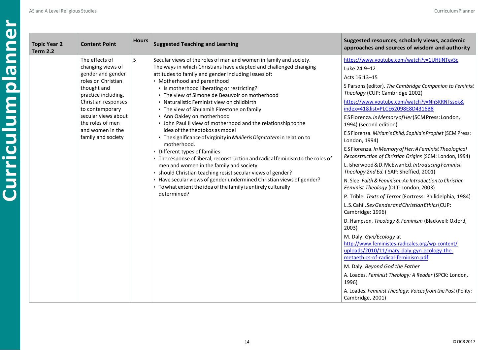| <b>Topic Year 2</b><br><b>Content Point</b><br><b>Term 2.2</b>                                                                                                                                                                                      | <b>Hours</b> | <b>Suggested Teaching and Learning</b>                                                                                                                                                                                                                                                                                                                                                                                                                                                                                                                                                                                                                                                                                                                                                                                                                                                                                                                                                                                                    | Suggested resources, scholarly views, academic<br>approaches and sources of wisdom and authority                                                                                                                                                                                                                                                                                                                                                                                                                                                                                                                                                                                                                                                                                                                                                                                                                                                                                                                                                                                                                                                                                                                                                                                                                 |
|-----------------------------------------------------------------------------------------------------------------------------------------------------------------------------------------------------------------------------------------------------|--------------|-------------------------------------------------------------------------------------------------------------------------------------------------------------------------------------------------------------------------------------------------------------------------------------------------------------------------------------------------------------------------------------------------------------------------------------------------------------------------------------------------------------------------------------------------------------------------------------------------------------------------------------------------------------------------------------------------------------------------------------------------------------------------------------------------------------------------------------------------------------------------------------------------------------------------------------------------------------------------------------------------------------------------------------------|------------------------------------------------------------------------------------------------------------------------------------------------------------------------------------------------------------------------------------------------------------------------------------------------------------------------------------------------------------------------------------------------------------------------------------------------------------------------------------------------------------------------------------------------------------------------------------------------------------------------------------------------------------------------------------------------------------------------------------------------------------------------------------------------------------------------------------------------------------------------------------------------------------------------------------------------------------------------------------------------------------------------------------------------------------------------------------------------------------------------------------------------------------------------------------------------------------------------------------------------------------------------------------------------------------------|
| The effects of<br>changing views of<br>gender and gender<br>roles on Christian<br>thought and<br>practice including,<br>Christian responses<br>to contemporary<br>secular views about<br>the roles of men<br>and women in the<br>family and society | 5            | Secular views of the roles of man and women in family and society.<br>The ways in which Christians have adapted and challenged changing<br>attitudes to family and gender including issues of:<br>· Motherhood and parenthood<br>• Is motherhood liberating or restricting?<br>• The view of Simone de Beauvoir on motherhood<br>· Naturalistic Feminist view on childbirth<br>• The view of Shulamih Firestone on family<br>. Ann Oakley on motherhood<br>. John Paul II view of motherhood and the relationship to the<br>idea of the theotokos as model<br>· The significance of virginity in Mullieris Dignitatem in relation to<br>motherhood.<br>• Different types of families<br>• The response of liberal, reconstruction and radical feminism to the roles of<br>men and women in the family and society<br>· should Christian teaching resist secular views of gender?<br>· Have secular views of gender undermined Christian views of gender?<br>• To what extent the idea of the family is entirely culturally<br>determined? | https://www.youtube.com/watch?v=1UHtiNTevSc<br>Luke 24:9-12<br>Acts 16:13-15<br>S Parsons (editor). The Cambridge Companion to Feminist<br>Theology (CUP: Cambridge 2002)<br>https://www.youtube.com/watch?v=Nh5KRNTsspk&<br>index=41&list=PLCE62098E8D4316B8<br>ESFiorenza. In Memory of Her (SCM Press: London,<br>1994) (second edition)<br>E S Fiorenza. Miriam's Child, Sophia's Prophet (SCM Press:<br>London, 1994)<br>ES Fiorenza. In Memory of Her: A Feminist Theological<br>Reconstruction of Christian Origins (SCM: London, 1994)<br>L. Isherwood & D. McEwan Ed. Introducing Feminist<br>Theology 2nd Ed. (SAP: Sheffied, 2001)<br>N. Slee. Faith & Feminism: An Introduction to Christian<br>Feminist Theology (DLT: London, 2003)<br>P. Trible. Texts of Terror (Fortress: Philidelphia, 1984)<br>L.S. Cahil. Sex Gender and Christian Ethics (CUP:<br>Cambridge: 1996)<br>D. Hampson. Theology & Feminism (Blackwell: Oxford,<br>2003)<br>M. Daly. Gyn/Ecology at<br>http://www.feministes-radicales.org/wp-content/<br>uploads/2010/11/mary-daly-gyn-ecology-the-<br>metaethics-of-radical-feminism.pdf<br>M. Daly. Beyond God the Father<br>A. Loades. Feminist Theology: A Reader (SPCK: London,<br>1996)<br>A. Loades. Feminist Theology: Voices from the Past (Polity:<br>Cambridge, 2001) |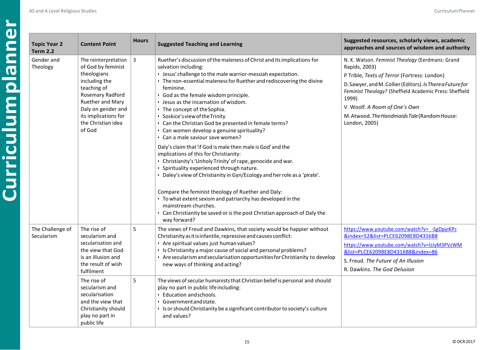| <b>Topic Year 2</b><br><b>Term 2.2</b> | <b>Content Point</b>                                                                                                                                                                                            | <b>Hours</b> | <b>Suggested Teaching and Learning</b>                                                                                                                                                                                                                                                                                                                                                                                                                                                                                                                                                                                                                                                                                                                                                                                                                                                                                                                                                                                                                                                          | Suggested resources, scholarly views, academic<br>approaches and sources of wisdom and authority                                                                                                                                                                                                                                                      |
|----------------------------------------|-----------------------------------------------------------------------------------------------------------------------------------------------------------------------------------------------------------------|--------------|-------------------------------------------------------------------------------------------------------------------------------------------------------------------------------------------------------------------------------------------------------------------------------------------------------------------------------------------------------------------------------------------------------------------------------------------------------------------------------------------------------------------------------------------------------------------------------------------------------------------------------------------------------------------------------------------------------------------------------------------------------------------------------------------------------------------------------------------------------------------------------------------------------------------------------------------------------------------------------------------------------------------------------------------------------------------------------------------------|-------------------------------------------------------------------------------------------------------------------------------------------------------------------------------------------------------------------------------------------------------------------------------------------------------------------------------------------------------|
| Gender and<br>Theology                 | The reinterpretation<br>of God by feminist<br>theologians<br>including the<br>teaching of<br>Rosemary Radford<br>Ruether and Mary<br>Daly on gender and<br>its implications for<br>the Christian idea<br>of God | 3            | Ruether's discussion of the maleness of Christ and its implications for<br>salvation including:<br>· Jesus' challenge to the male warrior-messiah expectation.<br>• The non-essential maleness for Ruether and rediscovering the divine<br>feminine.<br>· God as the female wisdom principle.<br>• Jesus as the incarnation of wisdom.<br>• The concept of the Sophia.<br>· Soskice's view of the Trinity<br>Can the Christian God be presented in female terms?<br>· Can women develop a genuine spirituality?<br>Can a male saviour save women?<br>Daly's claim that 'if God is male then male is God' and the<br>implications of this for Christianity:<br>· Christianity's 'Unholy Trinity' of rape, genocide and war.<br>· Spirituality experienced through nature.<br>· Daley's view of Christianity in Gyn/Ecology and her role as a 'pirate'.<br>Compare the feminist theology of Ruether and Daly:<br>• To what extent sexism and patriarchy has developed in the<br>mainstream churches.<br>• Can Christianity be saved or is the post Christian approach of Daly the<br>way forward? | N. K. Watson. Feminist Theology (Eerdmans: Grand<br>Rapids, 2003)<br>P Trible, Texts of Terror (Fortress: London)<br>D. Sawyer, and M. Collier (Editors). Is There a Future for<br>Feminist Theology? (Sheffield Academic Press: Sheffield<br>1999)<br>V. Woolf. A Room of One's Own<br>M. Atwood. The Handmaids Tale (Random House:<br>London, 2005) |
| The Challenge of<br>Secularism         | The rise of<br>secularism and<br>secularisation and<br>the view that God<br>is an illusion and<br>the result of wish<br>fulfilment                                                                              | 5            | The views of Freud and Dawkins, that society would be happier without<br>Christianity as it is infantile, repressive and causes conflict:<br>· Are spiritual values just human values?<br>• Is Christianity a major cause of social and personal problems?<br>· Are secularism and secularisation opportunities for Christianity to develop<br>new ways of thinking and acting?                                                                                                                                                                                                                                                                                                                                                                                                                                                                                                                                                                                                                                                                                                                 | https://www.youtube.com/watch?v= -SgDpyiKPc<br>&index=52&list=PLCE62098E8D4316B8<br>https://www.youtube.com/watch?v=lzJyM3PVzWM<br>&list=PLCE62098E8D4316B8&index=86<br>S. Freud. The Future of An Illusion<br>R. Dawkins. The God Delusion                                                                                                           |
|                                        | The rise of<br>secularism and<br>secularisation<br>and the view that<br>Christianity should<br>play no part in<br>public life                                                                                   | 5            | The views of secular humanists that Christian belief is personal and should<br>play no part in public life including:<br>• Education and schools.<br>· Government and state.<br>• Is or should Christianity be a significant contributor to society's culture<br>and values?                                                                                                                                                                                                                                                                                                                                                                                                                                                                                                                                                                                                                                                                                                                                                                                                                    |                                                                                                                                                                                                                                                                                                                                                       |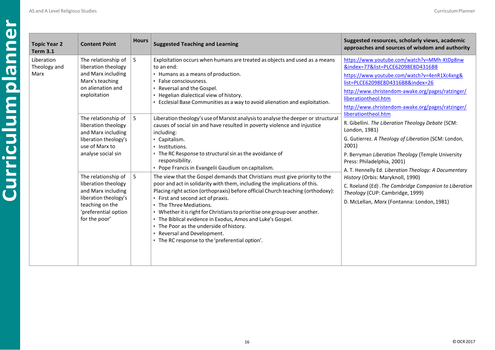| <b>Topic Year 2</b><br><b>Term 3.1</b> |
|----------------------------------------|
| Liberation<br>Theology and<br>Marx     |
|                                        |
|                                        |
|                                        |
|                                        |

| ear <sub>2</sub><br>$\mathbf{.1}$ | <b>Content Point</b>                                                                                                                                  | <b>Hours</b> | <b>Suggested Teaching and Learning</b>                                                                                                                                                                                                                                                                                                                                                                                                                                                                                                                                              | Suggested resources, scholarly views, academic<br>approaches and sources of wisdom and authority                                                                                                                                                                                                         |
|-----------------------------------|-------------------------------------------------------------------------------------------------------------------------------------------------------|--------------|-------------------------------------------------------------------------------------------------------------------------------------------------------------------------------------------------------------------------------------------------------------------------------------------------------------------------------------------------------------------------------------------------------------------------------------------------------------------------------------------------------------------------------------------------------------------------------------|----------------------------------------------------------------------------------------------------------------------------------------------------------------------------------------------------------------------------------------------------------------------------------------------------------|
| on<br>y and                       | The relationship of<br>liberation theology<br>and Marx including<br>Marx's teaching<br>on alienation and<br>exploitation                              | 5            | Exploitation occurs when humans are treated as objects and used as a means<br>to an end:<br>• Humans as a means of production.<br>· False consciousness.<br>· Reversal and the Gospel.<br>· Hegelian dialectical view of history.<br>• Ecclesial Base Communities as a way to avoid alienation and exploitation.                                                                                                                                                                                                                                                                    | https://www.youtube.com/watch?v=MMh-KtDp8nw<br>&index=77&list=PLCE62098E8D4316B8<br>https://www.youtube.com/watch?v=4enR1Xc4xng&<br>list=PLCE62098E8D4316B8&index=26<br>http://www.christendom-awake.org/pages/ratzinger/<br>liberationtheol.htm<br>http://www.christendom-awake.org/pages/ratzinger/    |
|                                   | The relationship of<br>liberation theology<br>and Marx including<br>liberation theology's<br>use of Marx to<br>analyse social sin                     | 5            | Liberation theology's use of Marxist analysis to analyse the deeper or structural<br>causes of social sin and have resulted in poverty violence and injustice<br>including:<br>· Capitalism.<br>· Institutions.<br>• The RC Response to structural sin as the avoidance of<br>responsibility.<br>• Pope Francis in Evangelii Gaudium on capitalism.                                                                                                                                                                                                                                 | liberationtheol.htm<br>R. Gibellini. The Liberation Theology Debate (SCM:<br>London, 1981)<br>G. Gutierrez. A Theology of Liberation (SCM: London,<br>2001)<br>P. Berryman Liberation Theology (Temple University<br>Press: Philadelphia, 2001)<br>A. T. Hennelly Ed. Liberation Theology: A Documentary |
|                                   | The relationship of<br>liberation theology<br>and Marx including<br>liberation theology's<br>teaching on the<br>'preferential option<br>for the poor' | 5            | The view that the Gospel demands that Christians must give priority to the<br>poor and act in solidarity with them, including the implications of this.<br>Placing right action (orthopraxis) before official Church teaching (orthodoxy):<br>• First and second act of praxis.<br>• The Three Mediations.<br>• Whether it is right for Christians to prioritise one group over another.<br>• The Biblical evidence in Exodus, Amos and Luke's Gospel.<br>• The Poor as the underside of history.<br>· Reversal and Development.<br>. The RC response to the 'preferential option'. | History (Orbis: Maryknoll, 1990)<br>C. Roeland (Ed) . The Cambridge Companion to Liberation<br>Theology (CUP: Cambridge, 1999)<br>D. McLellan, Marx (Fontanna: London, 1981)                                                                                                                             |